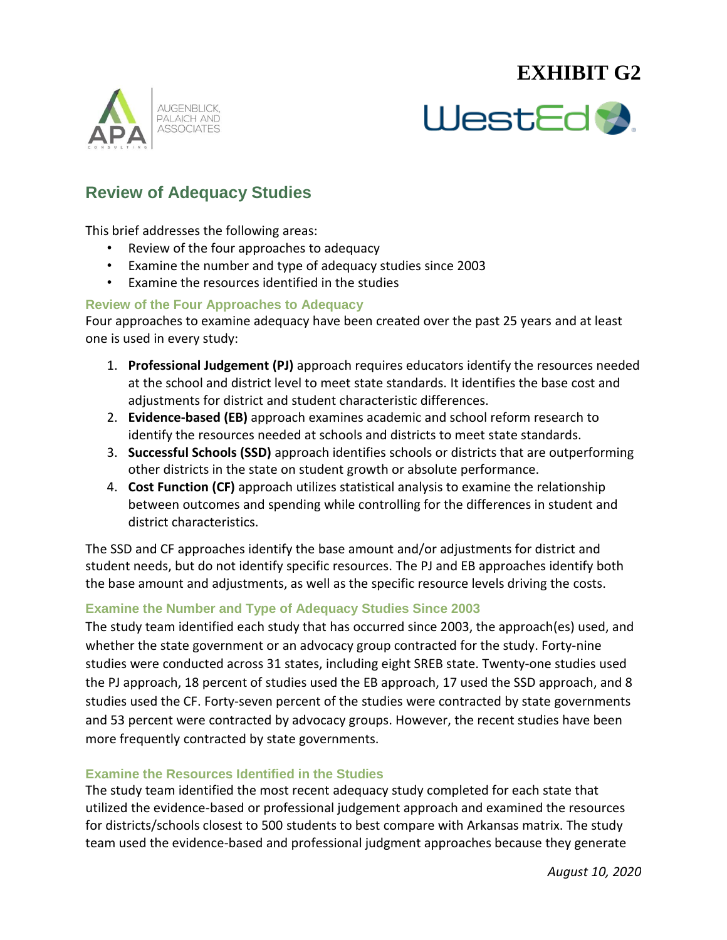## **EXHIBIT G2**





### **Review of Adequacy Studies**

This brief addresses the following areas:

- Review of the four approaches to adequacy
- Examine the number and type of adequacy studies since 2003
- Examine the resources identified in the studies

#### **Review of the Four Approaches to Adequacy**

Four approaches to examine adequacy have been created over the past 25 years and at least one is used in every study:

- 1. **Professional Judgement (PJ)** approach requires educators identify the resources needed at the school and district level to meet state standards. It identifies the base cost and adjustments for district and student characteristic differences.
- 2. **Evidence-based (EB)** approach examines academic and school reform research to identify the resources needed at schools and districts to meet state standards.
- 3. **Successful Schools (SSD)** approach identifies schools or districts that are outperforming other districts in the state on student growth or absolute performance.
- 4. **Cost Function (CF)** approach utilizes statistical analysis to examine the relationship between outcomes and spending while controlling for the differences in student and district characteristics.

The SSD and CF approaches identify the base amount and/or adjustments for district and student needs, but do not identify specific resources. The PJ and EB approaches identify both the base amount and adjustments, as well as the specific resource levels driving the costs.

#### **Examine the Number and Type of Adequacy Studies Since 2003**

The study team identified each study that has occurred since 2003, the approach(es) used, and whether the state government or an advocacy group contracted for the study. Forty-nine studies were conducted across 31 states, including eight SREB state. Twenty-one studies used the PJ approach, 18 percent of studies used the EB approach, 17 used the SSD approach, and 8 studies used the CF. Forty-seven percent of the studies were contracted by state governments and 53 percent were contracted by advocacy groups. However, the recent studies have been more frequently contracted by state governments.

### **Examine the Resources Identified in the Studies**

The study team identified the most recent adequacy study completed for each state that utilized the evidence-based or professional judgement approach and examined the resources for districts/schools closest to 500 students to best compare with Arkansas matrix. The study team used the evidence-based and professional judgment approaches because they generate